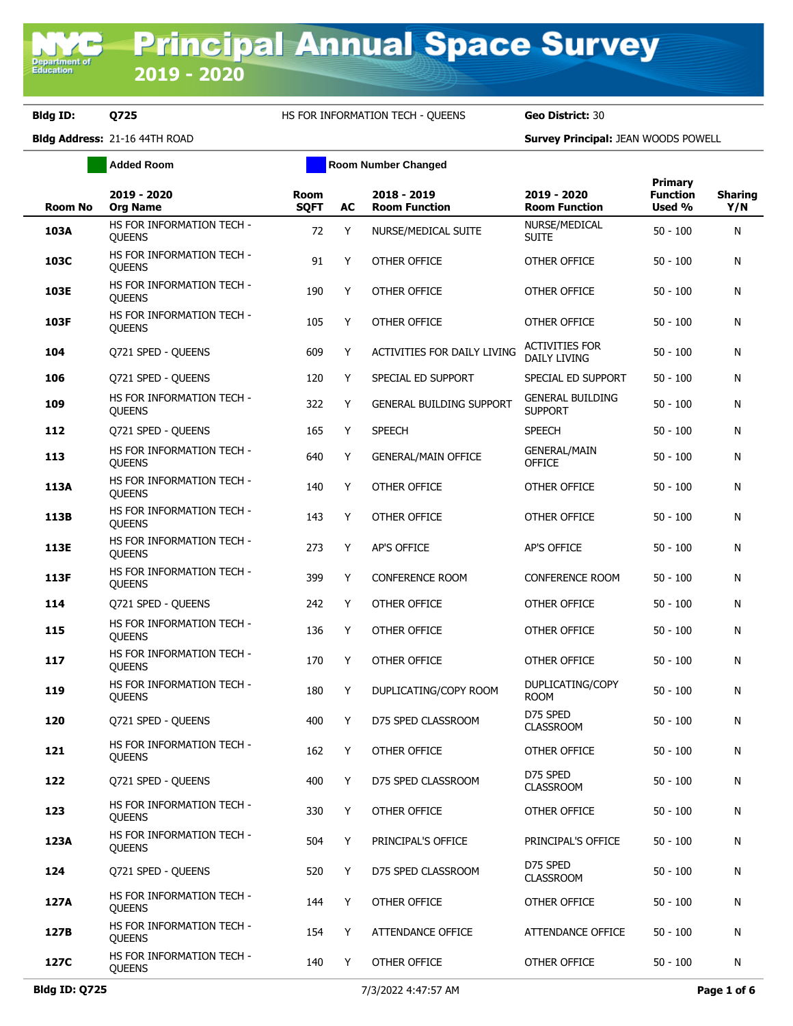**Added Room Room Room Number Changed** 

|                |                                            |                            |    |                                     |                                              | Primary                   |                       |
|----------------|--------------------------------------------|----------------------------|----|-------------------------------------|----------------------------------------------|---------------------------|-----------------------|
| <b>Room No</b> | 2019 - 2020<br><b>Org Name</b>             | <b>Room</b><br><b>SQFT</b> | AC | 2018 - 2019<br><b>Room Function</b> | 2019 - 2020<br><b>Room Function</b>          | <b>Function</b><br>Used % | <b>Sharing</b><br>Y/N |
| 103A           | HS FOR INFORMATION TECH -<br><b>OUEENS</b> | 72                         | Y  | NURSE/MEDICAL SUITE                 | NURSE/MEDICAL<br><b>SUITE</b>                | $50 - 100$                | N                     |
| 103C           | HS FOR INFORMATION TECH -<br><b>OUEENS</b> | 91                         | Y  | OTHER OFFICE                        | OTHER OFFICE                                 | $50 - 100$                | N                     |
| 103E           | HS FOR INFORMATION TECH -<br><b>OUEENS</b> | 190                        | Y  | OTHER OFFICE                        | OTHER OFFICE                                 | $50 - 100$                | N                     |
| 103F           | HS FOR INFORMATION TECH -<br><b>OUEENS</b> | 105                        | Y  | OTHER OFFICE                        | OTHER OFFICE                                 | 50 - 100                  | N                     |
| 104            | Q721 SPED - QUEENS                         | 609                        | Y  | ACTIVITIES FOR DAILY LIVING         | <b>ACTIVITIES FOR</b><br><b>DAILY LIVING</b> | $50 - 100$                | N                     |
| 106            | Q721 SPED - QUEENS                         | 120                        | Y  | SPECIAL ED SUPPORT                  | SPECIAL ED SUPPORT                           | $50 - 100$                | N                     |
| 109            | HS FOR INFORMATION TECH -<br><b>OUEENS</b> | 322                        | Y  | <b>GENERAL BUILDING SUPPORT</b>     | <b>GENERAL BUILDING</b><br><b>SUPPORT</b>    | $50 - 100$                | N                     |
| 112            | Q721 SPED - QUEENS                         | 165                        | Y  | <b>SPEECH</b>                       | SPEECH                                       | $50 - 100$                | N                     |
| 113            | HS FOR INFORMATION TECH -<br><b>QUEENS</b> | 640                        | Y  | <b>GENERAL/MAIN OFFICE</b>          | <b>GENERAL/MAIN</b><br>OFFICE                | $50 - 100$                | N                     |
| 113A           | HS FOR INFORMATION TECH -<br><b>QUEENS</b> | 140                        | Y  | OTHER OFFICE                        | <b>OTHER OFFICE</b>                          | $50 - 100$                | N                     |
| 113B           | HS FOR INFORMATION TECH -<br><b>OUEENS</b> | 143                        | Y  | OTHER OFFICE                        | OTHER OFFICE                                 | $50 - 100$                | N                     |
| 113E           | HS FOR INFORMATION TECH -<br><b>OUEENS</b> | 273                        | Y  | AP'S OFFICE                         | <b>AP'S OFFICE</b>                           | $50 - 100$                | N                     |
| 113F           | HS FOR INFORMATION TECH -<br><b>OUEENS</b> | 399                        | Y  | <b>CONFERENCE ROOM</b>              | <b>CONFERENCE ROOM</b>                       | $50 - 100$                | N                     |
| 114            | Q721 SPED - QUEENS                         | 242                        | Y  | OTHER OFFICE                        | OTHER OFFICE                                 | $50 - 100$                | N                     |
| 115            | HS FOR INFORMATION TECH -<br><b>QUEENS</b> | 136                        | Y  | OTHER OFFICE                        | OTHER OFFICE                                 | $50 - 100$                | N                     |
| 117            | HS FOR INFORMATION TECH -<br><b>QUEENS</b> | 170                        | Y  | OTHER OFFICE                        | OTHER OFFICE                                 | $50 - 100$                | N                     |
| 119            | HS FOR INFORMATION TECH -<br><b>QUEENS</b> | 180                        | Y  | DUPLICATING/COPY ROOM               | DUPLICATING/COPY<br><b>ROOM</b>              | 50 - 100                  | N                     |
| 120            | Q721 SPED - QUEENS                         | 400                        | Y  | D75 SPED CLASSROOM                  | D75 SPED<br><b>CLASSROOM</b>                 | 50 - 100                  | N                     |
| 121            | HS FOR INFORMATION TECH -<br><b>OUEENS</b> | 162                        | Y. | OTHER OFFICE                        | OTHER OFFICE                                 | $50 - 100$                | N                     |
| 122            | Q721 SPED - QUEENS                         | 400                        | Y  | D75 SPED CLASSROOM                  | D75 SPED<br><b>CLASSROOM</b>                 | $50 - 100$                | N                     |
| 123            | HS FOR INFORMATION TECH -<br><b>QUEENS</b> | 330                        | Y  | OTHER OFFICE                        | OTHER OFFICE                                 | $50 - 100$                | N                     |
| 123A           | HS FOR INFORMATION TECH -<br><b>QUEENS</b> | 504                        | Y  | PRINCIPAL'S OFFICE                  | PRINCIPAL'S OFFICE                           | $50 - 100$                | N                     |
| 124            | Q721 SPED - QUEENS                         | 520                        | Y  | D75 SPED CLASSROOM                  | D75 SPED<br><b>CLASSROOM</b>                 | $50 - 100$                | N                     |
| 127A           | HS FOR INFORMATION TECH -<br><b>QUEENS</b> | 144                        | Y  | OTHER OFFICE                        | OTHER OFFICE                                 | $50 - 100$                | N                     |
| 127B           | HS FOR INFORMATION TECH -<br><b>QUEENS</b> | 154                        | Y  | ATTENDANCE OFFICE                   | ATTENDANCE OFFICE                            | $50 - 100$                | N                     |
| 127C           | HS FOR INFORMATION TECH -<br>QUEENS        | 140                        | Y  | OTHER OFFICE                        | OTHER OFFICE                                 | $50 - 100$                | N                     |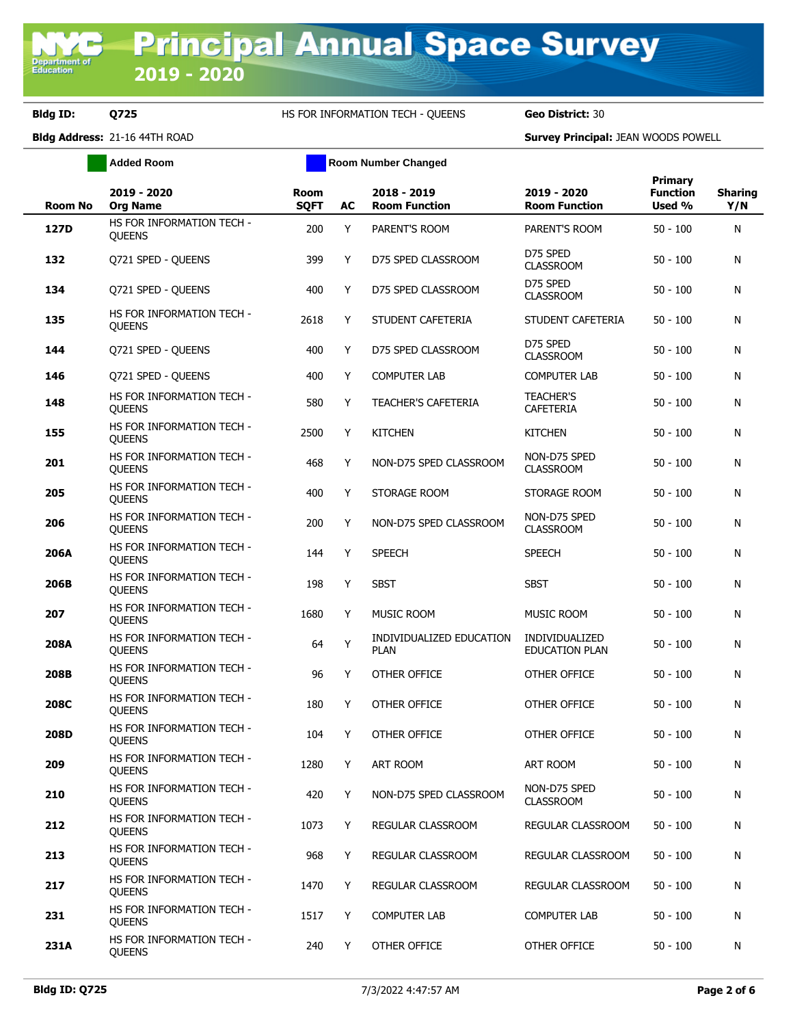**Added Room Room Room Number Changed** 

| <b>Room No</b> | 2019 - 2020<br><b>Org Name</b>             | <b>Room</b><br><b>SQFT</b> | AC | 2018 - 2019<br><b>Room Function</b>     | 2019 - 2020<br><b>Room Function</b>  | <b>Primary</b><br><b>Function</b><br>Used % | <b>Sharing</b><br>Y/N |
|----------------|--------------------------------------------|----------------------------|----|-----------------------------------------|--------------------------------------|---------------------------------------------|-----------------------|
| 127D           | HS FOR INFORMATION TECH -<br>QUEENS        | 200                        | Y  | PARENT'S ROOM                           | PARENT'S ROOM                        | $50 - 100$                                  | N                     |
| 132            | Q721 SPED - QUEENS                         | 399                        | Y  | D75 SPED CLASSROOM                      | D75 SPED<br><b>CLASSROOM</b>         | $50 - 100$                                  | N                     |
| 134            | Q721 SPED - QUEENS                         | 400                        | Y  | D75 SPED CLASSROOM                      | D75 SPED<br><b>CLASSROOM</b>         | $50 - 100$                                  | N                     |
| 135            | HS FOR INFORMATION TECH -<br><b>OUEENS</b> | 2618                       | Y  | STUDENT CAFETERIA                       | STUDENT CAFETERIA                    | $50 - 100$                                  | N                     |
| 144            | Q721 SPED - QUEENS                         | 400                        | Y  | D75 SPED CLASSROOM                      | D75 SPED<br><b>CLASSROOM</b>         | $50 - 100$                                  | N                     |
| 146            | Q721 SPED - QUEENS                         | 400                        | Y  | <b>COMPUTER LAB</b>                     | <b>COMPUTER LAB</b>                  | $50 - 100$                                  | N                     |
| 148            | HS FOR INFORMATION TECH -<br>QUEENS        | 580                        | Y  | <b>TEACHER'S CAFETERIA</b>              | <b>TEACHER'S</b><br><b>CAFETERIA</b> | $50 - 100$                                  | N                     |
| 155            | HS FOR INFORMATION TECH -<br><b>OUEENS</b> | 2500                       | Y  | <b>KITCHEN</b>                          | <b>KITCHEN</b>                       | $50 - 100$                                  | N                     |
| 201            | HS FOR INFORMATION TECH -<br><b>OUEENS</b> | 468                        | Y  | NON-D75 SPED CLASSROOM                  | NON-D75 SPED<br><b>CLASSROOM</b>     | $50 - 100$                                  | N                     |
| 205            | HS FOR INFORMATION TECH -<br><b>OUEENS</b> | 400                        | Y  | STORAGE ROOM                            | STORAGE ROOM                         | $50 - 100$                                  | N                     |
| 206            | HS FOR INFORMATION TECH -<br><b>QUEENS</b> | 200                        | Y  | NON-D75 SPED CLASSROOM                  | NON-D75 SPED<br><b>CLASSROOM</b>     | $50 - 100$                                  | N                     |
| 206A           | HS FOR INFORMATION TECH -<br><b>OUEENS</b> | 144                        | Y  | <b>SPEECH</b>                           | <b>SPEECH</b>                        | $50 - 100$                                  | N                     |
| 206B           | HS FOR INFORMATION TECH -<br><b>QUEENS</b> | 198                        | Y  | <b>SBST</b>                             | <b>SBST</b>                          | $50 - 100$                                  | N                     |
| 207            | HS FOR INFORMATION TECH -<br><b>QUEENS</b> | 1680                       | Y  | MUSIC ROOM                              | MUSIC ROOM                           | $50 - 100$                                  | N                     |
| 208A           | HS FOR INFORMATION TECH -<br><b>QUEENS</b> | 64                         | Υ  | INDIVIDUALIZED EDUCATION<br><b>PLAN</b> | INDIVIDUALIZED<br>EDUCATION PLAN     | $50 - 100$                                  | N                     |
| 208B           | HS FOR INFORMATION TECH -<br>QUEENS        | 96                         | Y  | OTHER OFFICE                            | OTHER OFFICE                         | $50 - 100$                                  | N                     |
| <b>208C</b>    | HS FOR INFORMATION TECH -<br><b>QUEENS</b> | 180                        | Y  | <b>OTHER OFFICE</b>                     | OTHER OFFICE                         | $50 - 100$                                  | N                     |
| 208D           | HS FOR INFORMATION TECH -<br><b>QUEENS</b> | 104                        | Y  | OTHER OFFICE                            | OTHER OFFICE                         | $50 - 100$                                  | N                     |
| 209            | HS FOR INFORMATION TECH -<br><b>QUEENS</b> | 1280                       | Y  | <b>ART ROOM</b>                         | ART ROOM                             | $50 - 100$                                  | N                     |
| 210            | HS FOR INFORMATION TECH -<br><b>QUEENS</b> | 420                        | Υ  | NON-D75 SPED CLASSROOM                  | NON-D75 SPED<br><b>CLASSROOM</b>     | $50 - 100$                                  | N                     |
| 212            | HS FOR INFORMATION TECH -<br><b>QUEENS</b> | 1073                       | Y  | REGULAR CLASSROOM                       | REGULAR CLASSROOM                    | $50 - 100$                                  | N                     |
| 213            | HS FOR INFORMATION TECH -<br><b>QUEENS</b> | 968                        | Y  | REGULAR CLASSROOM                       | REGULAR CLASSROOM                    | $50 - 100$                                  | N                     |
| 217            | HS FOR INFORMATION TECH -<br><b>QUEENS</b> | 1470                       | Y  | REGULAR CLASSROOM                       | REGULAR CLASSROOM                    | $50 - 100$                                  | N                     |
| 231            | HS FOR INFORMATION TECH -<br><b>QUEENS</b> | 1517                       | Y  | <b>COMPUTER LAB</b>                     | COMPUTER LAB                         | $50 - 100$                                  | N                     |
| 231A           | HS FOR INFORMATION TECH -<br><b>QUEENS</b> | 240                        | Y  | OTHER OFFICE                            | OTHER OFFICE                         | $50 - 100$                                  | N                     |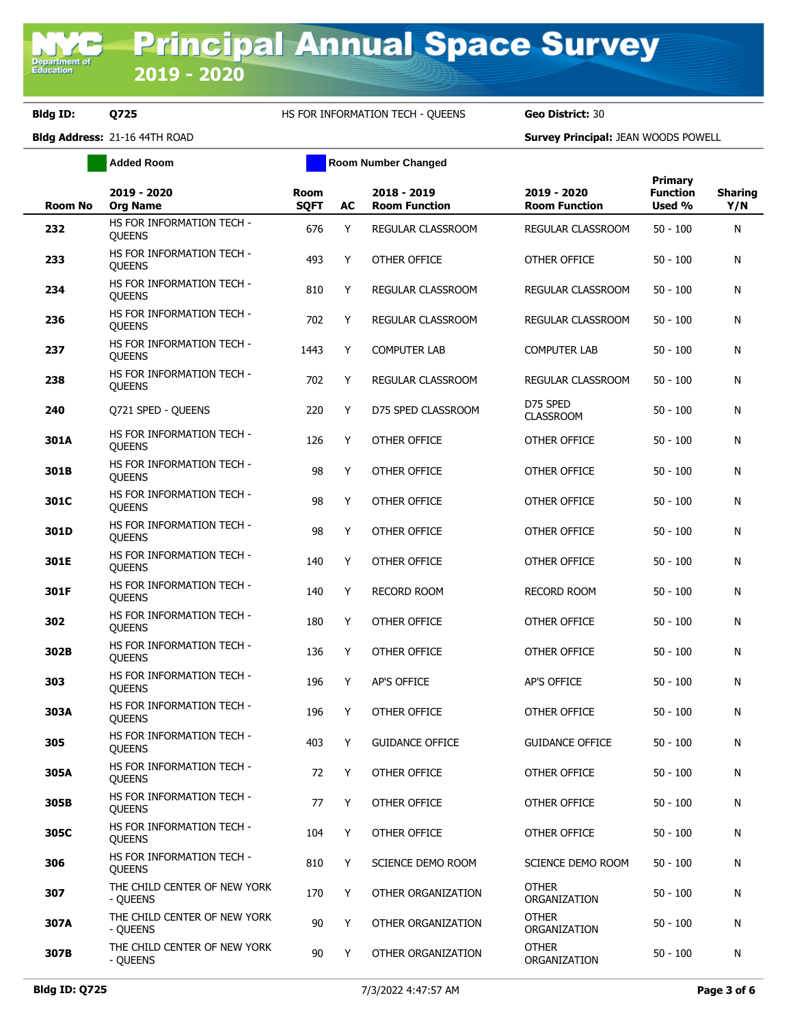**Added Room Room Room Number Changed** 

| <b>Room No</b> | 2019 - 2020<br><b>Org Name</b>             | <b>Room</b><br><b>SQFT</b> | AC | 2018 - 2019<br><b>Room Function</b> | 2019 - 2020<br><b>Room Function</b> | <b>Primary</b><br><b>Function</b><br>Used % | <b>Sharing</b><br>Y/N |
|----------------|--------------------------------------------|----------------------------|----|-------------------------------------|-------------------------------------|---------------------------------------------|-----------------------|
| 232            | HS FOR INFORMATION TECH -<br>QUEENS        | 676                        | Y  | REGULAR CLASSROOM                   | REGULAR CLASSROOM                   | $50 - 100$                                  | N                     |
| 233            | HS FOR INFORMATION TECH -<br><b>OUEENS</b> | 493                        | Y  | OTHER OFFICE                        | OTHER OFFICE                        | $50 - 100$                                  | N                     |
| 234            | HS FOR INFORMATION TECH -<br><b>QUEENS</b> | 810                        | Y  | REGULAR CLASSROOM                   | REGULAR CLASSROOM                   | $50 - 100$                                  | N                     |
| 236            | HS FOR INFORMATION TECH -<br><b>OUEENS</b> | 702                        | Y  | REGULAR CLASSROOM                   | REGULAR CLASSROOM                   | $50 - 100$                                  | N                     |
| 237            | HS FOR INFORMATION TECH -<br><b>QUEENS</b> | 1443                       | Y  | <b>COMPUTER LAB</b>                 | <b>COMPUTER LAB</b>                 | $50 - 100$                                  | N                     |
| 238            | HS FOR INFORMATION TECH -<br><b>QUEENS</b> | 702                        | Y  | REGULAR CLASSROOM                   | REGULAR CLASSROOM                   | $50 - 100$                                  | N                     |
| 240            | Q721 SPED - QUEENS                         | 220                        | Y  | D75 SPED CLASSROOM                  | D75 SPED<br><b>CLASSROOM</b>        | $50 - 100$                                  | N                     |
| 301A           | HS FOR INFORMATION TECH -<br><b>QUEENS</b> | 126                        | Y  | OTHER OFFICE                        | OTHER OFFICE                        | $50 - 100$                                  | N                     |
| 301B           | HS FOR INFORMATION TECH -<br><b>OUEENS</b> | 98                         | Y  | OTHER OFFICE                        | OTHER OFFICE                        | $50 - 100$                                  | N                     |
| 301C           | HS FOR INFORMATION TECH -<br><b>OUEENS</b> | 98                         | Y  | OTHER OFFICE                        | <b>OTHER OFFICE</b>                 | $50 - 100$                                  | N                     |
| 301D           | HS FOR INFORMATION TECH -<br><b>OUEENS</b> | 98                         | Y  | <b>OTHER OFFICE</b>                 | OTHER OFFICE                        | $50 - 100$                                  | N                     |
| 301E           | HS FOR INFORMATION TECH -<br><b>OUEENS</b> | 140                        | Y  | OTHER OFFICE                        | OTHER OFFICE                        | $50 - 100$                                  | N                     |
| 301F           | HS FOR INFORMATION TECH -<br><b>OUEENS</b> | 140                        | Y  | <b>RECORD ROOM</b>                  | <b>RECORD ROOM</b>                  | $50 - 100$                                  | N                     |
| 302            | HS FOR INFORMATION TECH -<br><b>OUEENS</b> | 180                        | Y  | OTHER OFFICE                        | OTHER OFFICE                        | $50 - 100$                                  | N                     |
| 302B           | HS FOR INFORMATION TECH -<br><b>OUEENS</b> | 136                        | Y  | OTHER OFFICE                        | OTHER OFFICE                        | $50 - 100$                                  | N                     |
| 303            | HS FOR INFORMATION TECH -<br><b>OUEENS</b> | 196                        | Y  | <b>AP'S OFFICE</b>                  | AP'S OFFICE                         | $50 - 100$                                  | N                     |
| 303A           | HS FOR INFORMATION TECH -<br><b>OUEENS</b> | 196                        | Y  | <b>OTHER OFFICE</b>                 | OTHER OFFICE                        | $50 - 100$                                  | N                     |
| 305            | HS FOR INFORMATION TECH -<br><b>OUEENS</b> | 403                        | Y  | <b>GUIDANCE OFFICE</b>              | <b>GUIDANCE OFFICE</b>              | $50 - 100$                                  | N                     |
| 305A           | HS FOR INFORMATION TECH -<br><b>OUEENS</b> | 72                         | Y  | OTHER OFFICE                        | OTHER OFFICE                        | $50 - 100$                                  | N                     |
| 305B           | HS FOR INFORMATION TECH -<br><b>OUEENS</b> | 77                         | Y  | OTHER OFFICE                        | OTHER OFFICE                        | $50 - 100$                                  | N                     |
| 305C           | HS FOR INFORMATION TECH -<br><b>OUEENS</b> | 104                        | Y  | OTHER OFFICE                        | OTHER OFFICE                        | $50 - 100$                                  | N                     |
| 306            | HS FOR INFORMATION TECH -<br><b>OUEENS</b> | 810                        | Y  | SCIENCE DEMO ROOM                   | SCIENCE DEMO ROOM                   | $50 - 100$                                  | N                     |
| 307            | THE CHILD CENTER OF NEW YORK<br>- OUEENS   | 170                        | Y  | OTHER ORGANIZATION                  | <b>OTHER</b><br>ORGANIZATION        | $50 - 100$                                  | N                     |
| 307A           | THE CHILD CENTER OF NEW YORK<br>- QUEENS   | 90                         | Y  | OTHER ORGANIZATION                  | <b>OTHER</b><br>ORGANIZATION        | $50 - 100$                                  | N                     |
| 307B           | THE CHILD CENTER OF NEW YORK<br>- QUEENS   | 90                         | Y  | OTHER ORGANIZATION                  | <b>OTHER</b><br>ORGANIZATION        | $50 - 100$                                  | N                     |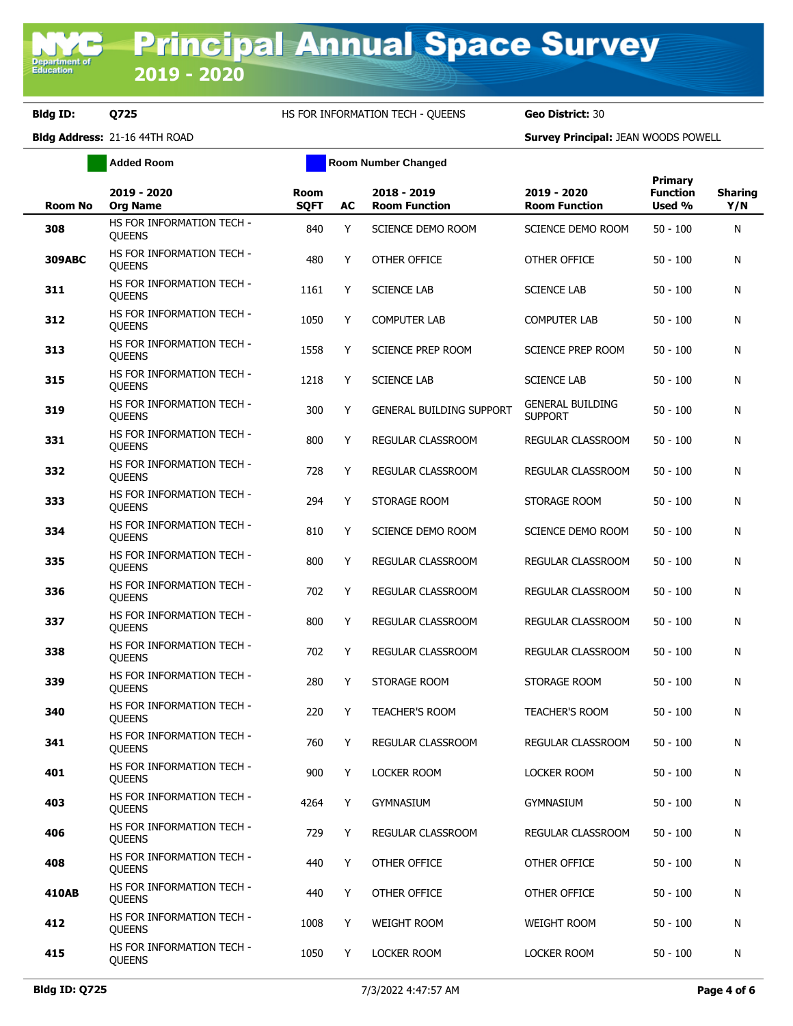**Added Room Room Room Number Changed** 

| <b>Room No</b> | 2019 - 2020<br><b>Org Name</b>             | Room<br><b>SQFT</b> | AC | 2018 - 2019<br><b>Room Function</b> | 2019 - 2020<br><b>Room Function</b>       | <b>Primary</b><br><b>Function</b><br>Used % | <b>Sharing</b><br>Y/N |
|----------------|--------------------------------------------|---------------------|----|-------------------------------------|-------------------------------------------|---------------------------------------------|-----------------------|
| 308            | HS FOR INFORMATION TECH -<br><b>QUEENS</b> | 840                 | Y  | SCIENCE DEMO ROOM                   | SCIENCE DEMO ROOM                         | $50 - 100$                                  | N                     |
| <b>309ABC</b>  | HS FOR INFORMATION TECH -<br><b>OUEENS</b> | 480                 | Y  | OTHER OFFICE                        | OTHER OFFICE                              | $50 - 100$                                  | N                     |
| 311            | HS FOR INFORMATION TECH -<br><b>QUEENS</b> | 1161                | Υ  | <b>SCIENCE LAB</b>                  | <b>SCIENCE LAB</b>                        | $50 - 100$                                  | N                     |
| 312            | HS FOR INFORMATION TECH -<br><b>QUEENS</b> | 1050                | Y  | <b>COMPUTER LAB</b>                 | <b>COMPUTER LAB</b>                       | $50 - 100$                                  | N                     |
| 313            | HS FOR INFORMATION TECH -<br><b>QUEENS</b> | 1558                | Y  | SCIENCE PREP ROOM                   | SCIENCE PREP ROOM                         | $50 - 100$                                  | N                     |
| 315            | HS FOR INFORMATION TECH -<br><b>OUEENS</b> | 1218                | Y  | <b>SCIENCE LAB</b>                  | <b>SCIENCE LAB</b>                        | $50 - 100$                                  | N                     |
| 319            | HS FOR INFORMATION TECH -<br><b>OUEENS</b> | 300                 | Y  | <b>GENERAL BUILDING SUPPORT</b>     | <b>GENERAL BUILDING</b><br><b>SUPPORT</b> | $50 - 100$                                  | N                     |
| 331            | HS FOR INFORMATION TECH -<br><b>OUEENS</b> | 800                 | Y  | REGULAR CLASSROOM                   | REGULAR CLASSROOM                         | $50 - 100$                                  | N                     |
| 332            | HS FOR INFORMATION TECH -<br><b>OUEENS</b> | 728                 | Y  | REGULAR CLASSROOM                   | REGULAR CLASSROOM                         | $50 - 100$                                  | N                     |
| 333            | HS FOR INFORMATION TECH -<br><b>OUEENS</b> | 294                 | Y  | STORAGE ROOM                        | STORAGE ROOM                              | $50 - 100$                                  | N                     |
| 334            | HS FOR INFORMATION TECH -<br><b>OUEENS</b> | 810                 | Y  | SCIENCE DEMO ROOM                   | <b>SCIENCE DEMO ROOM</b>                  | $50 - 100$                                  | N                     |
| 335            | HS FOR INFORMATION TECH -<br><b>OUEENS</b> | 800                 | Y  | REGULAR CLASSROOM                   | REGULAR CLASSROOM                         | $50 - 100$                                  | N                     |
| 336            | HS FOR INFORMATION TECH -<br><b>OUEENS</b> | 702                 | Y  | REGULAR CLASSROOM                   | REGULAR CLASSROOM                         | $50 - 100$                                  | N                     |
| 337            | HS FOR INFORMATION TECH -<br><b>OUEENS</b> | 800                 | Y  | REGULAR CLASSROOM                   | REGULAR CLASSROOM                         | $50 - 100$                                  | N                     |
| 338            | HS FOR INFORMATION TECH -<br><b>OUEENS</b> | 702                 | Y  | REGULAR CLASSROOM                   | REGULAR CLASSROOM                         | $50 - 100$                                  | N                     |
| 339            | HS FOR INFORMATION TECH -<br><b>OUEENS</b> | 280                 | Y  | STORAGE ROOM                        | STORAGE ROOM                              | $50 - 100$                                  | N                     |
| 340            | HS FOR INFORMATION TECH -<br><b>OUEENS</b> | 220                 | Y  | <b>TEACHER'S ROOM</b>               | <b>TEACHER'S ROOM</b>                     | $50 - 100$                                  | N                     |
| 341            | HS FOR INFORMATION TECH -<br><b>OUEENS</b> | 760                 | Y  | REGULAR CLASSROOM                   | REGULAR CLASSROOM                         | $50 - 100$                                  | N                     |
| 401            | HS FOR INFORMATION TECH -<br><b>OUEENS</b> | 900                 | Y  | LOCKER ROOM                         | LOCKER ROOM                               | $50 - 100$                                  | N                     |
| 403            | HS FOR INFORMATION TECH -<br><b>OUEENS</b> | 4264                | Y  | <b>GYMNASIUM</b>                    | <b>GYMNASIUM</b>                          | $50 - 100$                                  | N                     |
| 406            | HS FOR INFORMATION TECH -<br><b>QUEENS</b> | 729                 | Y  | REGULAR CLASSROOM                   | REGULAR CLASSROOM                         | $50 - 100$                                  | N                     |
| 408            | HS FOR INFORMATION TECH -<br><b>QUEENS</b> | 440                 | Y  | OTHER OFFICE                        | OTHER OFFICE                              | $50 - 100$                                  | N                     |
| 410AB          | HS FOR INFORMATION TECH -<br><b>QUEENS</b> | 440                 | Y  | OTHER OFFICE                        | OTHER OFFICE                              | $50 - 100$                                  | N                     |
| 412            | HS FOR INFORMATION TECH -<br><b>QUEENS</b> | 1008                | Y  | WEIGHT ROOM                         | <b>WEIGHT ROOM</b>                        | $50 - 100$                                  | N                     |
| 415            | HS FOR INFORMATION TECH -<br>QUEENS        | 1050                | Y  | <b>LOCKER ROOM</b>                  | LOCKER ROOM                               | $50 - 100$                                  | N                     |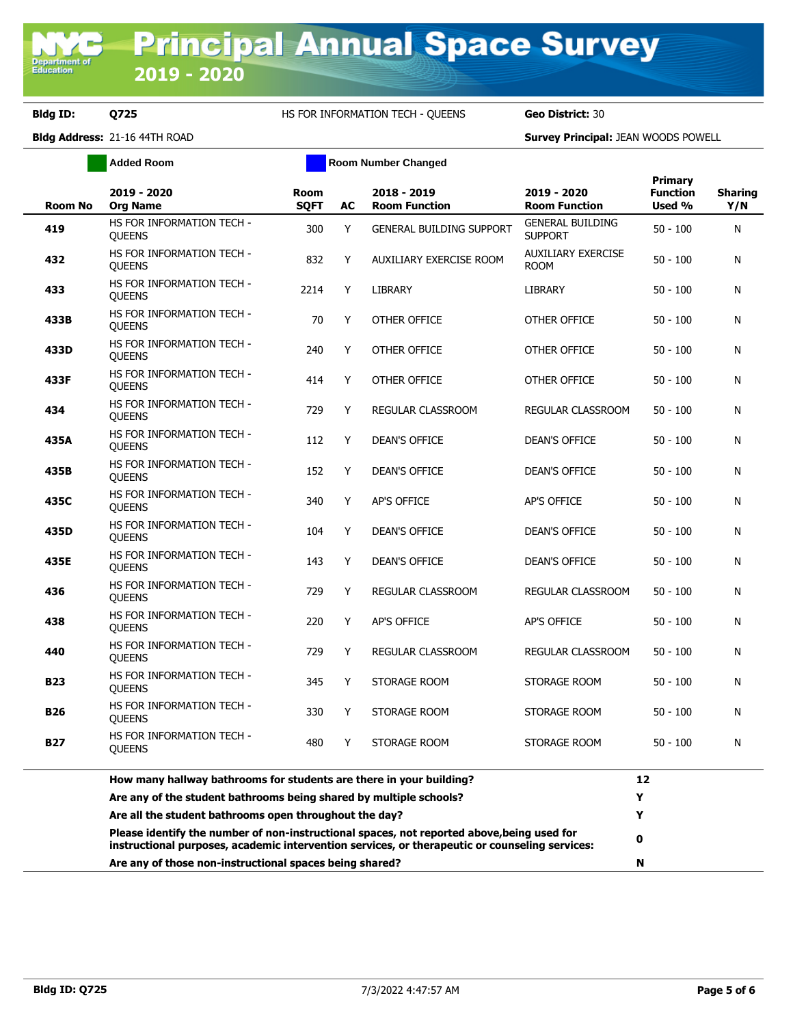|                | <b>Added Room</b>                                                                                                                                                                            |                            |    | <b>Room Number Changed</b>          |                                           |                                      |                       |
|----------------|----------------------------------------------------------------------------------------------------------------------------------------------------------------------------------------------|----------------------------|----|-------------------------------------|-------------------------------------------|--------------------------------------|-----------------------|
| <b>Room No</b> | 2019 - 2020<br><b>Org Name</b>                                                                                                                                                               | <b>Room</b><br><b>SQFT</b> | AC | 2018 - 2019<br><b>Room Function</b> | 2019 - 2020<br><b>Room Function</b>       | Primary<br><b>Function</b><br>Used % | <b>Sharing</b><br>Y/N |
| 419            | HS FOR INFORMATION TECH -<br>QUEENS                                                                                                                                                          | 300                        | Y  | <b>GENERAL BUILDING SUPPORT</b>     | <b>GENERAL BUILDING</b><br><b>SUPPORT</b> | $50 - 100$                           | N                     |
| 432            | HS FOR INFORMATION TECH -<br><b>QUEENS</b>                                                                                                                                                   | 832                        | Y  | AUXILIARY EXERCISE ROOM             | <b>AUXILIARY EXERCISE</b><br><b>ROOM</b>  | $50 - 100$                           | N                     |
| 433            | HS FOR INFORMATION TECH -<br><b>QUEENS</b>                                                                                                                                                   | 2214                       | Y  | LIBRARY                             | <b>LIBRARY</b>                            | $50 - 100$                           | N                     |
| 433B           | HS FOR INFORMATION TECH -<br><b>QUEENS</b>                                                                                                                                                   | 70                         | Y  | <b>OTHER OFFICE</b>                 | OTHER OFFICE                              | $50 - 100$                           | N                     |
| 433D           | HS FOR INFORMATION TECH -<br><b>QUEENS</b>                                                                                                                                                   | 240                        | Y  | OTHER OFFICE                        | OTHER OFFICE                              | $50 - 100$                           | N                     |
| 433F           | HS FOR INFORMATION TECH -<br><b>QUEENS</b>                                                                                                                                                   | 414                        | Y  | OTHER OFFICE                        | OTHER OFFICE                              | $50 - 100$                           | N                     |
| 434            | HS FOR INFORMATION TECH -<br>QUEENS                                                                                                                                                          | 729                        | Y  | REGULAR CLASSROOM                   | REGULAR CLASSROOM                         | $50 - 100$                           | N                     |
| 435A           | HS FOR INFORMATION TECH -<br><b>OUEENS</b>                                                                                                                                                   | 112                        | Y  | <b>DEAN'S OFFICE</b>                | <b>DEAN'S OFFICE</b>                      | $50 - 100$                           | N                     |
| 435B           | HS FOR INFORMATION TECH -<br><b>OUEENS</b>                                                                                                                                                   | 152                        | Y  | <b>DEAN'S OFFICE</b>                | <b>DEAN'S OFFICE</b>                      | $50 - 100$                           | N                     |
| 435C           | HS FOR INFORMATION TECH -<br><b>OUEENS</b>                                                                                                                                                   | 340                        | Y  | AP'S OFFICE                         | AP'S OFFICE                               | $50 - 100$                           | N                     |
| 435D           | HS FOR INFORMATION TECH -<br><b>QUEENS</b>                                                                                                                                                   | 104                        | Y  | <b>DEAN'S OFFICE</b>                | <b>DEAN'S OFFICE</b>                      | $50 - 100$                           | N                     |
| 435E           | HS FOR INFORMATION TECH -<br><b>OUEENS</b>                                                                                                                                                   | 143                        | Y  | <b>DEAN'S OFFICE</b>                | <b>DEAN'S OFFICE</b>                      | $50 - 100$                           | N                     |
| 436            | HS FOR INFORMATION TECH -<br><b>OUEENS</b>                                                                                                                                                   | 729                        | Y  | REGULAR CLASSROOM                   | REGULAR CLASSROOM                         | $50 - 100$                           | N                     |
| 438            | HS FOR INFORMATION TECH -<br><b>OUEENS</b>                                                                                                                                                   | 220                        | Y  | AP'S OFFICE                         | AP'S OFFICE                               | $50 - 100$                           | N                     |
| 440            | HS FOR INFORMATION TECH -<br>QUEENS                                                                                                                                                          | 729                        | Y  | REGULAR CLASSROOM                   | REGULAR CLASSROOM                         | $50 - 100$                           | N                     |
| <b>B23</b>     | HS FOR INFORMATION TECH -<br><b>OUEENS</b>                                                                                                                                                   | 345                        | Y  | STORAGE ROOM                        | STORAGE ROOM                              | $50 - 100$                           | N                     |
| <b>B26</b>     | HS FOR INFORMATION TECH -<br><b>OUEENS</b>                                                                                                                                                   | 330                        | Y  | STORAGE ROOM                        | STORAGE ROOM                              | $50 - 100$                           | N                     |
| B27            | HS FOR INFORMATION TECH -<br><b>OUEENS</b>                                                                                                                                                   | 480                        | Y  | STORAGE ROOM                        | STORAGE ROOM                              | 50 - 100                             | N                     |
|                | How many hallway bathrooms for students are there in your building?<br>Are any of the student bathrooms being shared by multiple schools?                                                    |                            |    |                                     |                                           |                                      |                       |
|                |                                                                                                                                                                                              |                            |    |                                     |                                           |                                      |                       |
|                | Are all the student bathrooms open throughout the day?                                                                                                                                       |                            |    |                                     |                                           |                                      |                       |
|                | Please identify the number of non-instructional spaces, not reported above, being used for<br>instructional purposes, academic intervention services, or therapeutic or counseling services: |                            | 0  |                                     |                                           |                                      |                       |
|                | Are any of those non-instructional spaces being shared?                                                                                                                                      |                            | N  |                                     |                                           |                                      |                       |